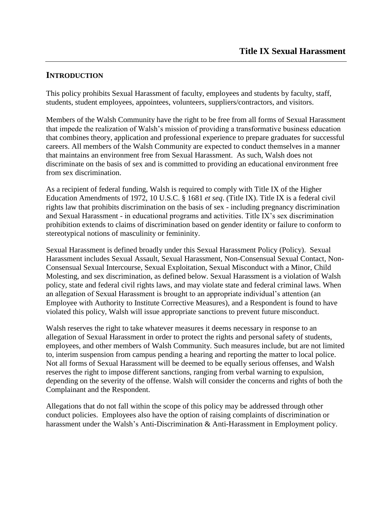### **INTRODUCTION**

This policy prohibits Sexual Harassment of faculty, employees and students by faculty, staff, students, student employees, appointees, volunteers, suppliers/contractors, and visitors.

Members of the Walsh Community have the right to be free from all forms of Sexual Harassment that impede the realization of Walsh's mission of providing a transformative business education that combines theory, application and professional experience to prepare graduates for successful careers. All members of the Walsh Community are expected to conduct themselves in a manner that maintains an environment free from Sexual Harassment. As such, Walsh does not discriminate on the basis of sex and is committed to providing an educational environment free from sex discrimination.

As a recipient of federal funding, Walsh is required to comply with Title IX of the Higher Education Amendments of 1972, 10 U.S.C. § 1681 *et seq*. (Title IX). Title IX is a federal civil rights law that prohibits discrimination on the basis of sex - including pregnancy discrimination and Sexual Harassment - in educational programs and activities. Title IX's sex discrimination prohibition extends to claims of discrimination based on gender identity or failure to conform to stereotypical notions of masculinity or femininity.

Sexual Harassment is defined broadly under this Sexual Harassment Policy (Policy). Sexual Harassment includes Sexual Assault, Sexual Harassment, Non-Consensual Sexual Contact, Non-Consensual Sexual Intercourse, Sexual Exploitation, Sexual Misconduct with a Minor, Child Molesting, and sex discrimination, as defined below. Sexual Harassment is a violation of Walsh policy, state and federal civil rights laws, and may violate state and federal criminal laws. When an allegation of Sexual Harassment is brought to an appropriate individual's attention (an Employee with Authority to Institute Corrective Measures), and a Respondent is found to have violated this policy, Walsh will issue appropriate sanctions to prevent future misconduct.

Walsh reserves the right to take whatever measures it deems necessary in response to an allegation of Sexual Harassment in order to protect the rights and personal safety of students, employees, and other members of Walsh Community. Such measures include, but are not limited to, interim suspension from campus pending a hearing and reporting the matter to local police. Not all forms of Sexual Harassment will be deemed to be equally serious offenses, and Walsh reserves the right to impose different sanctions, ranging from verbal warning to expulsion, depending on the severity of the offense. Walsh will consider the concerns and rights of both the Complainant and the Respondent.

Allegations that do not fall within the scope of this policy may be addressed through other conduct policies. Employees also have the option of raising complaints of discrimination or harassment under the Walsh's Anti-Discrimination & Anti-Harassment in Employment policy.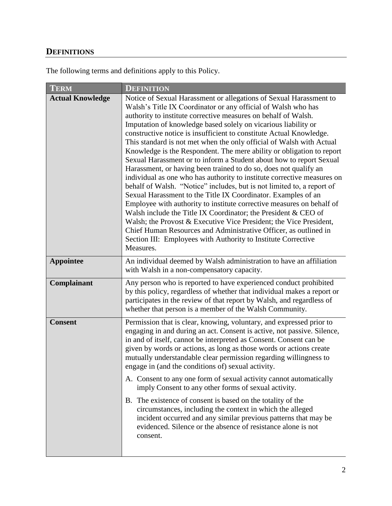# **DEFINITIONS**

The following terms and definitions apply to this Policy.

| <b>TERM</b>             | <b>DEFINITION</b>                                                                                                                                                                                                                                                                                                                                                                                                                                                                                                                                                                                                                                                                                                                                                                                                                                                                                                                                                                                                                                                                                                                                                                                                                   |
|-------------------------|-------------------------------------------------------------------------------------------------------------------------------------------------------------------------------------------------------------------------------------------------------------------------------------------------------------------------------------------------------------------------------------------------------------------------------------------------------------------------------------------------------------------------------------------------------------------------------------------------------------------------------------------------------------------------------------------------------------------------------------------------------------------------------------------------------------------------------------------------------------------------------------------------------------------------------------------------------------------------------------------------------------------------------------------------------------------------------------------------------------------------------------------------------------------------------------------------------------------------------------|
| <b>Actual Knowledge</b> | Notice of Sexual Harassment or allegations of Sexual Harassment to<br>Walsh's Title IX Coordinator or any official of Walsh who has<br>authority to institute corrective measures on behalf of Walsh.<br>Imputation of knowledge based solely on vicarious liability or<br>constructive notice is insufficient to constitute Actual Knowledge.<br>This standard is not met when the only official of Walsh with Actual<br>Knowledge is the Respondent. The mere ability or obligation to report<br>Sexual Harassment or to inform a Student about how to report Sexual<br>Harassment, or having been trained to do so, does not qualify an<br>individual as one who has authority to institute corrective measures on<br>behalf of Walsh. "Notice" includes, but is not limited to, a report of<br>Sexual Harassment to the Title IX Coordinator. Examples of an<br>Employee with authority to institute corrective measures on behalf of<br>Walsh include the Title IX Coordinator; the President & CEO of<br>Walsh; the Provost & Executive Vice President; the Vice President,<br>Chief Human Resources and Administrative Officer, as outlined in<br>Section III: Employees with Authority to Institute Corrective<br>Measures. |
| <b>Appointee</b>        | An individual deemed by Walsh administration to have an affiliation<br>with Walsh in a non-compensatory capacity.                                                                                                                                                                                                                                                                                                                                                                                                                                                                                                                                                                                                                                                                                                                                                                                                                                                                                                                                                                                                                                                                                                                   |
| Complainant             | Any person who is reported to have experienced conduct prohibited<br>by this policy, regardless of whether that individual makes a report or<br>participates in the review of that report by Walsh, and regardless of<br>whether that person is a member of the Walsh Community.                                                                                                                                                                                                                                                                                                                                                                                                                                                                                                                                                                                                                                                                                                                                                                                                                                                                                                                                                    |
| <b>Consent</b>          | Permission that is clear, knowing, voluntary, and expressed prior to<br>engaging in and during an act. Consent is active, not passive. Silence,<br>in and of itself, cannot be interpreted as Consent. Consent can be<br>given by words or actions, as long as those words or actions create<br>mutually understandable clear permission regarding willingness to<br>engage in (and the conditions of) sexual activity.<br>A. Consent to any one form of sexual activity cannot automatically<br>imply Consent to any other forms of sexual activity.                                                                                                                                                                                                                                                                                                                                                                                                                                                                                                                                                                                                                                                                               |
|                         | B. The existence of consent is based on the totality of the<br>circumstances, including the context in which the alleged<br>incident occurred and any similar previous patterns that may be<br>evidenced. Silence or the absence of resistance alone is not<br>consent.                                                                                                                                                                                                                                                                                                                                                                                                                                                                                                                                                                                                                                                                                                                                                                                                                                                                                                                                                             |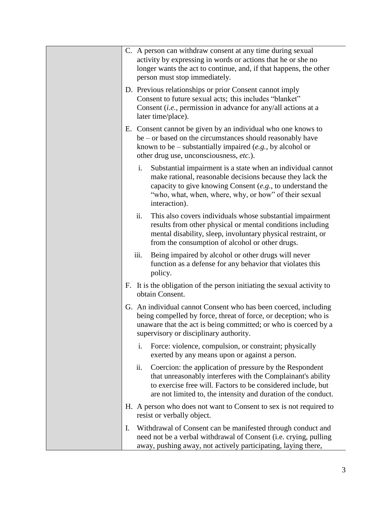|    | C. A person can withdraw consent at any time during sexual<br>activity by expressing in words or actions that he or she no<br>longer wants the act to continue, and, if that happens, the other<br>person must stop immediately.                                         |
|----|--------------------------------------------------------------------------------------------------------------------------------------------------------------------------------------------------------------------------------------------------------------------------|
|    | D. Previous relationships or prior Consent cannot imply<br>Consent to future sexual acts; this includes "blanket"<br>Consent ( <i>i.e.</i> , permission in advance for any/all actions at a<br>later time/place).                                                        |
|    | E. Consent cannot be given by an individual who one knows to<br>be – or based on the circumstances should reasonably have<br>known to be – substantially impaired $(e.g., by alcohol or$<br>other drug use, unconsciousness, etc.).                                      |
|    | Substantial impairment is a state when an individual cannot<br>i.<br>make rational, reasonable decisions because they lack the<br>capacity to give knowing Consent $(e.g., to understand the)$<br>"who, what, when, where, why, or how" of their sexual<br>interaction). |
|    | ii.<br>This also covers individuals whose substantial impairment<br>results from other physical or mental conditions including<br>mental disability, sleep, involuntary physical restraint, or<br>from the consumption of alcohol or other drugs.                        |
|    | iii.<br>Being impaired by alcohol or other drugs will never<br>function as a defense for any behavior that violates this<br>policy.                                                                                                                                      |
|    | F. It is the obligation of the person initiating the sexual activity to<br>obtain Consent.                                                                                                                                                                               |
|    | G. An individual cannot Consent who has been coerced, including<br>being compelled by force, threat of force, or deception; who is<br>unaware that the act is being committed; or who is coerced by a<br>supervisory or disciplinary authority.                          |
|    | Force: violence, compulsion, or constraint; physically<br>i.<br>exerted by any means upon or against a person.                                                                                                                                                           |
|    | ii.<br>Coercion: the application of pressure by the Respondent<br>that unreasonably interferes with the Complainant's ability<br>to exercise free will. Factors to be considered include, but<br>are not limited to, the intensity and duration of the conduct.          |
|    | H. A person who does not want to Consent to sex is not required to<br>resist or verbally object.                                                                                                                                                                         |
| I. | Withdrawal of Consent can be manifested through conduct and<br>need not be a verbal withdrawal of Consent (i.e. crying, pulling<br>away, pushing away, not actively participating, laying there,                                                                         |

 $\overline{\phantom{0}}$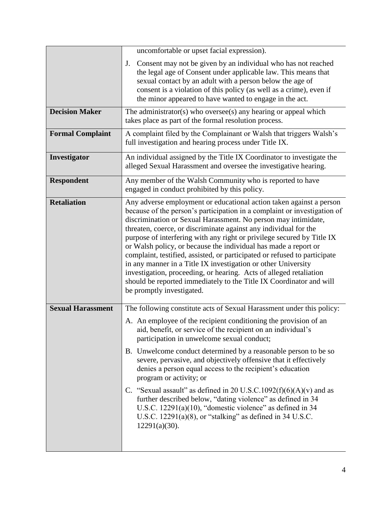| uncomfortable or upset facial expression).                                                                                                                                                                                                                                                                                                                                                                                                                                                                                                                                                                                                                                                                                                                                      |
|---------------------------------------------------------------------------------------------------------------------------------------------------------------------------------------------------------------------------------------------------------------------------------------------------------------------------------------------------------------------------------------------------------------------------------------------------------------------------------------------------------------------------------------------------------------------------------------------------------------------------------------------------------------------------------------------------------------------------------------------------------------------------------|
| Consent may not be given by an individual who has not reached<br>J.<br>the legal age of Consent under applicable law. This means that<br>sexual contact by an adult with a person below the age of<br>consent is a violation of this policy (as well as a crime), even if<br>the minor appeared to have wanted to engage in the act.                                                                                                                                                                                                                                                                                                                                                                                                                                            |
| The administrator(s) who oversee(s) any hearing or appeal which<br>takes place as part of the formal resolution process.                                                                                                                                                                                                                                                                                                                                                                                                                                                                                                                                                                                                                                                        |
| A complaint filed by the Complainant or Walsh that triggers Walsh's<br>full investigation and hearing process under Title IX.                                                                                                                                                                                                                                                                                                                                                                                                                                                                                                                                                                                                                                                   |
| An individual assigned by the Title IX Coordinator to investigate the<br>alleged Sexual Harassment and oversee the investigative hearing.                                                                                                                                                                                                                                                                                                                                                                                                                                                                                                                                                                                                                                       |
| Any member of the Walsh Community who is reported to have<br>engaged in conduct prohibited by this policy.                                                                                                                                                                                                                                                                                                                                                                                                                                                                                                                                                                                                                                                                      |
| Any adverse employment or educational action taken against a person<br>because of the person's participation in a complaint or investigation of<br>discrimination or Sexual Harassment. No person may intimidate,<br>threaten, coerce, or discriminate against any individual for the<br>purpose of interfering with any right or privilege secured by Title IX<br>or Walsh policy, or because the individual has made a report or<br>complaint, testified, assisted, or participated or refused to participate<br>in any manner in a Title IX investigation or other University<br>investigation, proceeding, or hearing. Acts of alleged retaliation<br>should be reported immediately to the Title IX Coordinator and will<br>be promptly investigated.                      |
| The following constitute acts of Sexual Harassment under this policy:<br>A. An employee of the recipient conditioning the provision of an<br>aid, benefit, or service of the recipient on an individual's<br>participation in unwelcome sexual conduct;<br>B. Unwelcome conduct determined by a reasonable person to be so<br>severe, pervasive, and objectively offensive that it effectively<br>denies a person equal access to the recipient's education<br>program or activity; or<br>C. "Sexual assault" as defined in 20 U.S.C.1092(f)(6)(A)(v) and as<br>further described below, "dating violence" as defined in 34<br>U.S.C. $12291(a)(10)$ , "domestic violence" as defined in 34<br>U.S.C. $12291(a)(8)$ , or "stalking" as defined in 34 U.S.C.<br>$12291(a)(30)$ . |
|                                                                                                                                                                                                                                                                                                                                                                                                                                                                                                                                                                                                                                                                                                                                                                                 |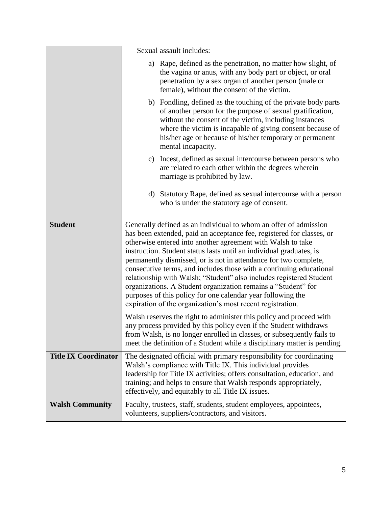|                             | Sexual assault includes:                                                                                                                                                                                                                                                                                                                                                                                                                                                                                                                                                                                                                                                                        |
|-----------------------------|-------------------------------------------------------------------------------------------------------------------------------------------------------------------------------------------------------------------------------------------------------------------------------------------------------------------------------------------------------------------------------------------------------------------------------------------------------------------------------------------------------------------------------------------------------------------------------------------------------------------------------------------------------------------------------------------------|
|                             | Rape, defined as the penetration, no matter how slight, of<br>a)<br>the vagina or anus, with any body part or object, or oral<br>penetration by a sex organ of another person (male or<br>female), without the consent of the victim.                                                                                                                                                                                                                                                                                                                                                                                                                                                           |
|                             | b) Fondling, defined as the touching of the private body parts<br>of another person for the purpose of sexual gratification,<br>without the consent of the victim, including instances<br>where the victim is incapable of giving consent because of<br>his/her age or because of his/her temporary or permanent<br>mental incapacity.                                                                                                                                                                                                                                                                                                                                                          |
|                             | Incest, defined as sexual intercourse between persons who<br>c)<br>are related to each other within the degrees wherein<br>marriage is prohibited by law.                                                                                                                                                                                                                                                                                                                                                                                                                                                                                                                                       |
|                             | d) Statutory Rape, defined as sexual intercourse with a person<br>who is under the statutory age of consent.                                                                                                                                                                                                                                                                                                                                                                                                                                                                                                                                                                                    |
| <b>Student</b>              | Generally defined as an individual to whom an offer of admission<br>has been extended, paid an acceptance fee, registered for classes, or<br>otherwise entered into another agreement with Walsh to take<br>instruction. Student status lasts until an individual graduates, is<br>permanently dismissed, or is not in attendance for two complete,<br>consecutive terms, and includes those with a continuing educational<br>relationship with Walsh; "Student" also includes registered Student<br>organizations. A Student organization remains a "Student" for<br>purposes of this policy for one calendar year following the<br>expiration of the organization's most recent registration. |
|                             | Walsh reserves the right to administer this policy and proceed with<br>any process provided by this policy even if the Student withdraws<br>from Walsh, is no longer enrolled in classes, or subsequently fails to<br>meet the definition of a Student while a disciplinary matter is pending.                                                                                                                                                                                                                                                                                                                                                                                                  |
| <b>Title IX Coordinator</b> | The designated official with primary responsibility for coordinating<br>Walsh's compliance with Title IX. This individual provides<br>leadership for Title IX activities; offers consultation, education, and<br>training; and helps to ensure that Walsh responds appropriately,<br>effectively, and equitably to all Title IX issues.                                                                                                                                                                                                                                                                                                                                                         |
| <b>Walsh Community</b>      | Faculty, trustees, staff, students, student employees, appointees,<br>volunteers, suppliers/contractors, and visitors.                                                                                                                                                                                                                                                                                                                                                                                                                                                                                                                                                                          |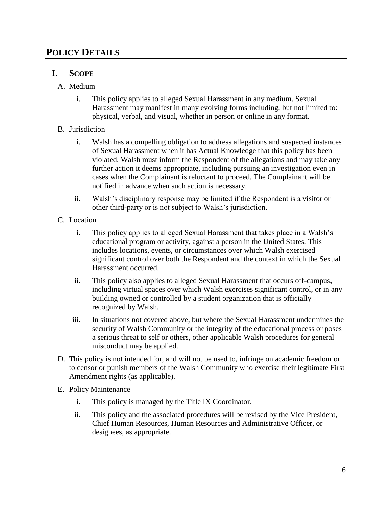## **POLICY DETAILS**

### **I. SCOPE**

- A. Medium
	- i. This policy applies to alleged Sexual Harassment in any medium. Sexual Harassment may manifest in many evolving forms including, but not limited to: physical, verbal, and visual, whether in person or online in any format.
- B. Jurisdiction
	- i. Walsh has a compelling obligation to address allegations and suspected instances of Sexual Harassment when it has Actual Knowledge that this policy has been violated. Walsh must inform the Respondent of the allegations and may take any further action it deems appropriate, including pursuing an investigation even in cases when the Complainant is reluctant to proceed. The Complainant will be notified in advance when such action is necessary.
	- ii. Walsh's disciplinary response may be limited if the Respondent is a visitor or other third-party or is not subject to Walsh's jurisdiction.
- C. Location
	- i. This policy applies to alleged Sexual Harassment that takes place in a Walsh's educational program or activity, against a person in the United States. This includes locations, events, or circumstances over which Walsh exercised significant control over both the Respondent and the context in which the Sexual Harassment occurred.
	- ii. This policy also applies to alleged Sexual Harassment that occurs off-campus, including virtual spaces over which Walsh exercises significant control, or in any building owned or controlled by a student organization that is officially recognized by Walsh.
	- iii. In situations not covered above, but where the Sexual Harassment undermines the security of Walsh Community or the integrity of the educational process or poses a serious threat to self or others, other applicable Walsh procedures for general misconduct may be applied.
- D. This policy is not intended for, and will not be used to, infringe on academic freedom or to censor or punish members of the Walsh Community who exercise their legitimate First Amendment rights (as applicable).
- E. Policy Maintenance
	- i. This policy is managed by the Title IX Coordinator.
	- ii. This policy and the associated procedures will be revised by the Vice President, Chief Human Resources, Human Resources and Administrative Officer, or designees, as appropriate.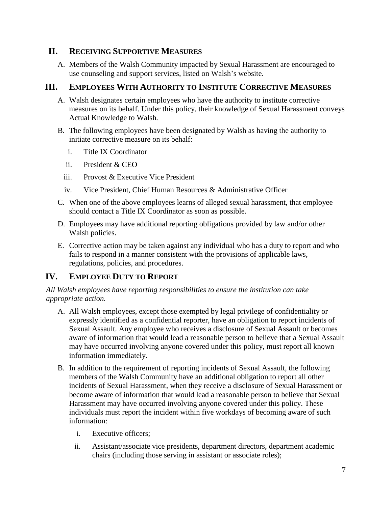## **II. RECEIVING SUPPORTIVE MEASURES**

A. Members of the Walsh Community impacted by Sexual Harassment are encouraged to use counseling and support services, listed on Walsh's website.

## **III. EMPLOYEES WITH AUTHORITY TO INSTITUTE CORRECTIVE MEASURES**

- A. Walsh designates certain employees who have the authority to institute corrective measures on its behalf. Under this policy, their knowledge of Sexual Harassment conveys Actual Knowledge to Walsh*.*
- B. The following employees have been designated by Walsh as having the authority to initiate corrective measure on its behalf:
	- i. Title IX Coordinator
	- ii. President & CEO
	- iii. Provost & Executive Vice President
	- iv. Vice President, Chief Human Resources & Administrative Officer
- C. When one of the above employees learns of alleged sexual harassment, that employee should contact a Title IX Coordinator as soon as possible.
- D. Employees may have additional reporting obligations provided by law and/or other Walsh policies.
- E. Corrective action may be taken against any individual who has a duty to report and who fails to respond in a manner consistent with the provisions of applicable laws, regulations, policies, and procedures.

## **IV. EMPLOYEE DUTY TO REPORT**

*All Walsh employees have reporting responsibilities to ensure the institution can take appropriate action.*

- A. All Walsh employees, except those exempted by legal privilege of confidentiality or expressly identified as a confidential reporter, have an obligation to report incidents of Sexual Assault. Any employee who receives a disclosure of Sexual Assault or becomes aware of information that would lead a reasonable person to believe that a Sexual Assault may have occurred involving anyone covered under this policy, must report all known information immediately.
- B. In addition to the requirement of reporting incidents of Sexual Assault, the following members of the Walsh Community have an additional obligation to report all other incidents of Sexual Harassment, when they receive a disclosure of Sexual Harassment or become aware of information that would lead a reasonable person to believe that Sexual Harassment may have occurred involving anyone covered under this policy. These individuals must report the incident within five workdays of becoming aware of such information:
	- i. Executive officers;
	- ii. Assistant/associate vice presidents, department directors, department academic chairs (including those serving in assistant or associate roles);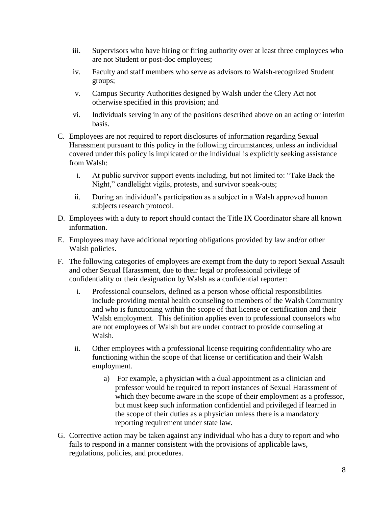- iii. Supervisors who have hiring or firing authority over at least three employees who are not Student or post-doc employees;
- iv. Faculty and staff members who serve as advisors to Walsh-recognized Student groups;
- v. Campus Security Authorities designed by Walsh under the Clery Act not otherwise specified in this provision; and
- vi. Individuals serving in any of the positions described above on an acting or interim basis.
- C. Employees are not required to report disclosures of information regarding Sexual Harassment pursuant to this policy in the following circumstances, unless an individual covered under this policy is implicated or the individual is explicitly seeking assistance from Walsh:
	- i. At public survivor support events including, but not limited to: "Take Back the Night," candlelight vigils, protests, and survivor speak-outs;
	- ii. During an individual's participation as a subject in a Walsh approved human subjects research protocol.
- D. Employees with a duty to report should contact the Title IX Coordinator share all known information.
- E. Employees may have additional reporting obligations provided by law and/or other Walsh policies.
- F. The following categories of employees are exempt from the duty to report Sexual Assault and other Sexual Harassment, due to their legal or professional privilege of confidentiality or their designation by Walsh as a confidential reporter:
	- i. Professional counselors, defined as a person whose official responsibilities include providing mental health counseling to members of the Walsh Community and who is functioning within the scope of that license or certification and their Walsh employment. This definition applies even to professional counselors who are not employees of Walsh but are under contract to provide counseling at Walsh.
	- ii. Other employees with a professional license requiring confidentiality who are functioning within the scope of that license or certification and their Walsh employment.
		- a) For example, a physician with a dual appointment as a clinician and professor would be required to report instances of Sexual Harassment of which they become aware in the scope of their employment as a professor, but must keep such information confidential and privileged if learned in the scope of their duties as a physician unless there is a mandatory reporting requirement under state law.
- G. Corrective action may be taken against any individual who has a duty to report and who fails to respond in a manner consistent with the provisions of applicable laws, regulations, policies, and procedures.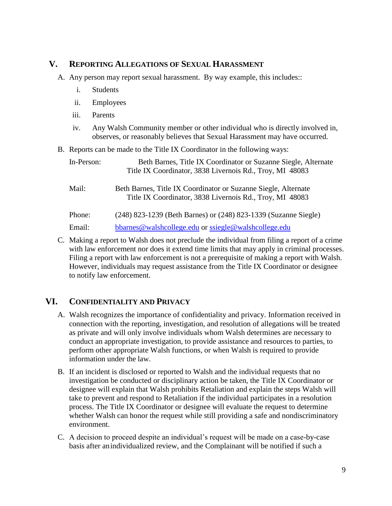### **V. REPORTING ALLEGATIONS OF SEXUAL HARASSMENT**

- A. Any person may report sexual harassment. By way example, this includes::
	- i. Students
	- ii. Employees
	- iii. Parents
	- iv. Any Walsh Community member or other individual who is directly involved in, observes, or reasonably believes that Sexual Harassment may have occurred.
- B. Reports can be made to the Title IX Coordinator in the following ways:

| In-Person: | Beth Barnes, Title IX Coordinator or Suzanne Siegle, Alternate<br>Title IX Coordinator, 3838 Livernois Rd., Troy, MI 48083 |
|------------|----------------------------------------------------------------------------------------------------------------------------|
| Mail:      | Beth Barnes, Title IX Coordinator or Suzanne Siegle, Alternate<br>Title IX Coordinator, 3838 Livernois Rd., Troy, MI 48083 |
| Phone:     | (248) 823-1239 (Beth Barnes) or (248) 823-1339 (Suzanne Siegle)                                                            |
| Email:     | bbarnes@walshcollege.edu or ssiegle@walshcollege.edu                                                                       |

C. Making a report to Walsh does not preclude the individual from filing a report of a crime with law enforcement nor does it extend time limits that may apply in criminal processes. Filing a report with law enforcement is not a prerequisite of making a report with Walsh. However, individuals may request assistance from the Title IX Coordinator or designee to notify law enforcement.

## **VI. CONFIDENTIALITY AND PRIVACY**

- A. Walsh recognizes the importance of confidentiality and privacy. Information received in connection with the reporting, investigation, and resolution of allegations will be treated as private and will only involve individuals whom Walsh determines are necessary to conduct an appropriate investigation, to provide assistance and resources to parties, to perform other appropriate Walsh functions, or when Walsh is required to provide information under the law.
- B. If an incident is disclosed or reported to Walsh and the individual requests that no investigation be conducted or disciplinary action be taken, the Title IX Coordinator or designee will explain that Walsh prohibits Retaliation and explain the steps Walsh will take to prevent and respond to Retaliation if the individual participates in a resolution process. The Title IX Coordinator or designee will evaluate the request to determine whether Walsh can honor the request while still providing a safe and nondiscriminatory environment.
- C. A decision to proceed despite an individual's request will be made on a case-by-case basis after anindividualized review, and the Complainant will be notified if such a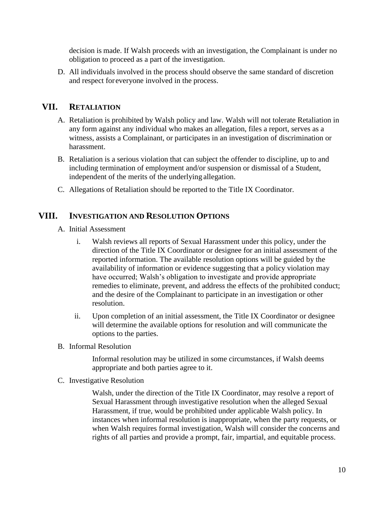decision is made. If Walsh proceeds with an investigation, the Complainant is under no obligation to proceed as a part of the investigation.

D. All individuals involved in the process should observe the same standard of discretion and respect foreveryone involved in the process.

## **VII. RETALIATION**

- A. Retaliation is prohibited by Walsh policy and law. Walsh will not tolerate Retaliation in any form against any individual who makes an allegation, files a report, serves as a witness, assists a Complainant, or participates in an investigation of discrimination or harassment.
- B. Retaliation is a serious violation that can subject the offender to discipline, up to and including termination of employment and/or suspension or dismissal of a Student, independent of the merits of the underlying allegation.
- C. Allegations of Retaliation should be reported to the Title IX Coordinator.

## **VIII. INVESTIGATION AND RESOLUTION OPTIONS**

- A. Initial Assessment
	- i. Walsh reviews all reports of Sexual Harassment under this policy, under the direction of the Title IX Coordinator or designee for an initial assessment of the reported information. The available resolution options will be guided by the availability of information or evidence suggesting that a policy violation may have occurred; Walsh's obligation to investigate and provide appropriate remedies to eliminate, prevent, and address the effects of the prohibited conduct; and the desire of the Complainant to participate in an investigation or other resolution.
	- ii. Upon completion of an initial assessment, the Title IX Coordinator or designee will determine the available options for resolution and will communicate the options to the parties.
- B. Informal Resolution

Informal resolution may be utilized in some circumstances, if Walsh deems appropriate and both parties agree to it.

C. Investigative Resolution

Walsh, under the direction of the Title IX Coordinator, may resolve a report of Sexual Harassment through investigative resolution when the alleged Sexual Harassment, if true, would be prohibited under applicable Walsh policy. In instances when informal resolution is inappropriate, when the party requests, or when Walsh requires formal investigation, Walsh will consider the concerns and rights of all parties and provide a prompt, fair, impartial, and equitable process.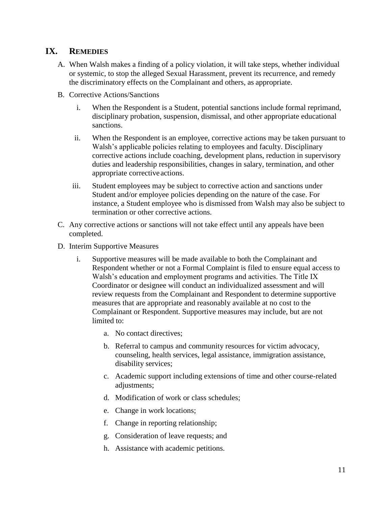## **IX. REMEDIES**

- A. When Walsh makes a finding of a policy violation, it will take steps, whether individual or systemic, to stop the alleged Sexual Harassment, prevent its recurrence, and remedy the discriminatory effects on the Complainant and others, as appropriate.
- B. Corrective Actions/Sanctions
	- i. When the Respondent is a Student, potential sanctions include formal reprimand, disciplinary probation, suspension, dismissal, and other appropriate educational sanctions.
	- ii. When the Respondent is an employee, corrective actions may be taken pursuant to Walsh's applicable policies relating to employees and faculty. Disciplinary corrective actions include coaching, development plans, reduction in supervisory duties and leadership responsibilities, changes in salary, termination, and other appropriate corrective actions.
	- iii. Student employees may be subject to corrective action and sanctions under Student and/or employee policies depending on the nature of the case. For instance, a Student employee who is dismissed from Walsh may also be subject to termination or other corrective actions.
- C. Any corrective actions or sanctions will not take effect until any appeals have been completed.
- D. Interim Supportive Measures
	- i. Supportive measures will be made available to both the Complainant and Respondent whether or not a Formal Complaint is filed to ensure equal access to Walsh's education and employment programs and activities. The Title IX Coordinator or designee will conduct an individualized assessment and will review requests from the Complainant and Respondent to determine supportive measures that are appropriate and reasonably available at no cost to the Complainant or Respondent. Supportive measures may include, but are not limited to:
		- a. No contact directives;
		- b. Referral to campus and community resources for victim advocacy, counseling, health services, legal assistance, immigration assistance, disability services;
		- c. Academic support including extensions of time and other course-related adjustments;
		- d. Modification of work or class schedules;
		- e. Change in work locations;
		- f. Change in reporting relationship;
		- g. Consideration of leave requests; and
		- h. Assistance with academic petitions.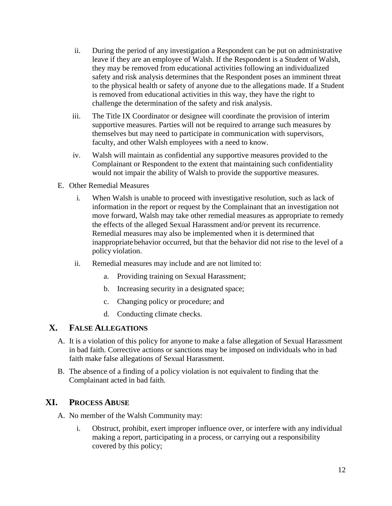- ii. During the period of any investigation a Respondent can be put on administrative leave if they are an employee of Walsh. If the Respondent is a Student of Walsh, they may be removed from educational activities following an individualized safety and risk analysis determines that the Respondent poses an imminent threat to the physical health or safety of anyone due to the allegations made. If a Student is removed from educational activities in this way, they have the right to challenge the determination of the safety and risk analysis.
- iii. The Title IX Coordinator or designee will coordinate the provision of interim supportive measures. Parties will not be required to arrange such measures by themselves but may need to participate in communication with supervisors, faculty, and other Walsh employees with a need to know.
- iv. Walsh will maintain as confidential any supportive measures provided to the Complainant or Respondent to the extent that maintaining such confidentiality would not impair the ability of Walsh to provide the supportive measures.
- E. Other Remedial Measures
	- i. When Walsh is unable to proceed with investigative resolution, such as lack of information in the report or request by the Complainant that an investigation not move forward, Walsh may take other remedial measures as appropriate to remedy the effects of the alleged Sexual Harassment and/or prevent its recurrence. Remedial measures may also be implemented when it is determined that inappropriate behavior occurred, but that the behavior did not rise to the level of a policy violation.
	- ii. Remedial measures may include and are not limited to:
		- a. Providing training on Sexual Harassment;
		- b. Increasing security in a designated space;
		- c. Changing policy or procedure; and
		- d. Conducting climate checks.

### **X. FALSE ALLEGATIONS**

- A. It is a violation of this policy for anyone to make a false allegation of Sexual Harassment in bad faith. Corrective actions or sanctions may be imposed on individuals who in bad faith make false allegations of Sexual Harassment.
- B. The absence of a finding of a policy violation is not equivalent to finding that the Complainant acted in bad faith.

#### **XI. PROCESS ABUSE**

- A. No member of the Walsh Community may:
	- i. Obstruct, prohibit, exert improper influence over, or interfere with any individual making a report, participating in a process, or carrying out a responsibility covered by this policy;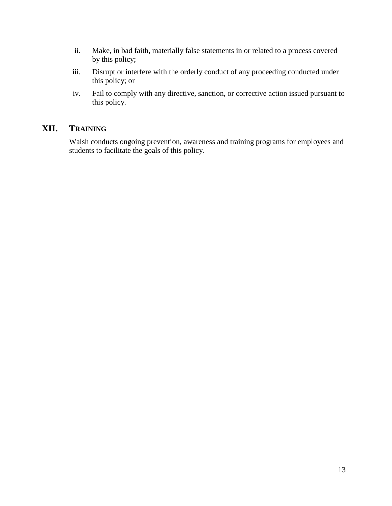- ii. Make, in bad faith, materially false statements in or related to a process covered by this policy;
- iii. Disrupt or interfere with the orderly conduct of any proceeding conducted under this policy; or
- iv. Fail to comply with any directive, sanction, or corrective action issued pursuant to this policy.

## **XII. TRAINING**

Walsh conducts ongoing prevention, awareness and training programs for employees and students to facilitate the goals of this policy.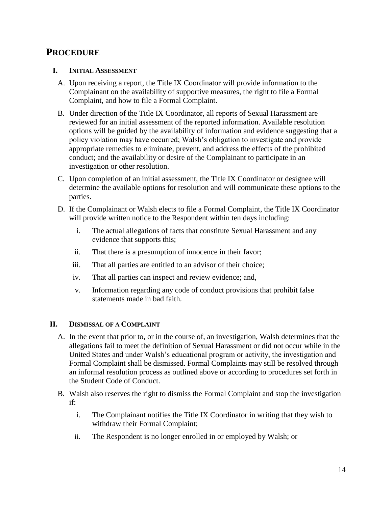## **PROCEDURE**

#### **I. INITIAL ASSESSMENT**

- A. Upon receiving a report, the Title IX Coordinator will provide information to the Complainant on the availability of supportive measures, the right to file a Formal Complaint, and how to file a Formal Complaint.
- B. Under direction of the Title IX Coordinator, all reports of Sexual Harassment are reviewed for an initial assessment of the reported information. Available resolution options will be guided by the availability of information and evidence suggesting that a policy violation may have occurred; Walsh's obligation to investigate and provide appropriate remedies to eliminate, prevent, and address the effects of the prohibited conduct; and the availability or desire of the Complainant to participate in an investigation or other resolution.
- C. Upon completion of an initial assessment, the Title IX Coordinator or designee will determine the available options for resolution and will communicate these options to the parties.
- D. If the Complainant or Walsh elects to file a Formal Complaint, the Title IX Coordinator will provide written notice to the Respondent within ten days including:
	- i. The actual allegations of facts that constitute Sexual Harassment and any evidence that supports this;
	- ii. That there is a presumption of innocence in their favor;
	- iii. That all parties are entitled to an advisor of their choice;
	- iv. That all parties can inspect and review evidence; and,
	- v. Information regarding any code of conduct provisions that prohibit false statements made in bad faith.

#### **II. DISMISSAL OF A COMPLAINT**

- A. In the event that prior to, or in the course of, an investigation, Walsh determines that the allegations fail to meet the definition of Sexual Harassment or did not occur while in the United States and under Walsh's educational program or activity, the investigation and Formal Complaint shall be dismissed. Formal Complaints may still be resolved through an informal resolution process as outlined above or according to procedures set forth in the Student Code of Conduct.
- B. Walsh also reserves the right to dismiss the Formal Complaint and stop the investigation if:
	- i. The Complainant notifies the Title IX Coordinator in writing that they wish to withdraw their Formal Complaint;
	- ii. The Respondent is no longer enrolled in or employed by Walsh; or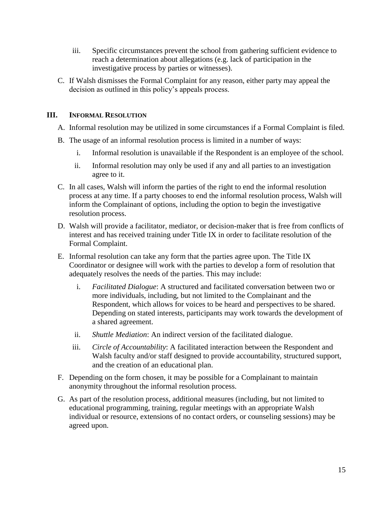- iii. Specific circumstances prevent the school from gathering sufficient evidence to reach a determination about allegations (e.g. lack of participation in the investigative process by parties or witnesses).
- C. If Walsh dismisses the Formal Complaint for any reason, either party may appeal the decision as outlined in this policy's appeals process.

#### **III. INFORMAL RESOLUTION**

- A. Informal resolution may be utilized in some circumstances if a Formal Complaint is filed.
- B. The usage of an informal resolution process is limited in a number of ways:
	- i. Informal resolution is unavailable if the Respondent is an employee of the school.
	- ii. Informal resolution may only be used if any and all parties to an investigation agree to it.
- C. In all cases, Walsh will inform the parties of the right to end the informal resolution process at any time. If a party chooses to end the informal resolution process, Walsh will inform the Complainant of options, including the option to begin the investigative resolution process.
- D. Walsh will provide a facilitator, mediator, or decision-maker that is free from conflicts of interest and has received training under Title IX in order to facilitate resolution of the Formal Complaint.
- E. Informal resolution can take any form that the parties agree upon. The Title IX Coordinator or designee will work with the parties to develop a form of resolution that adequately resolves the needs of the parties. This may include:
	- i. *Facilitated Dialogue*: A structured and facilitated conversation between two or more individuals, including, but not limited to the Complainant and the Respondent, which allows for voices to be heard and perspectives to be shared. Depending on stated interests, participants may work towards the development of a shared agreement.
	- ii. *Shuttle Mediation*: An indirect version of the facilitated dialogue.
	- iii. *Circle of Accountability*: A facilitated interaction between the Respondent and Walsh faculty and/or staff designed to provide accountability, structured support, and the creation of an educational plan.
- F. Depending on the form chosen, it may be possible for a Complainant to maintain anonymity throughout the informal resolution process.
- G. As part of the resolution process, additional measures (including, but not limited to educational programming, training, regular meetings with an appropriate Walsh individual or resource, extensions of no contact orders, or counseling sessions) may be agreed upon.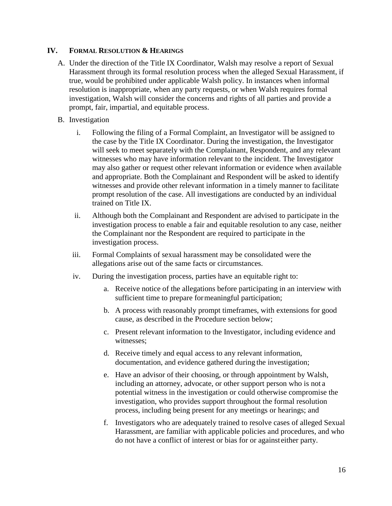#### **IV. FORMAL RESOLUTION & HEARINGS**

- A. Under the direction of the Title IX Coordinator, Walsh may resolve a report of Sexual Harassment through its formal resolution process when the alleged Sexual Harassment, if true, would be prohibited under applicable Walsh policy. In instances when informal resolution is inappropriate, when any party requests, or when Walsh requires formal investigation, Walsh will consider the concerns and rights of all parties and provide a prompt, fair, impartial, and equitable process.
- B. Investigation
	- i. Following the filing of a Formal Complaint, an Investigator will be assigned to the case by the Title IX Coordinator. During the investigation, the Investigator will seek to meet separately with the Complainant, Respondent, and any relevant witnesses who may have information relevant to the incident. The Investigator may also gather or request other relevant information or evidence when available and appropriate. Both the Complainant and Respondent will be asked to identify witnesses and provide other relevant information in a timely manner to facilitate prompt resolution of the case. All investigations are conducted by an individual trained on Title IX.
	- ii. Although both the Complainant and Respondent are advised to participate in the investigation process to enable a fair and equitable resolution to any case, neither the Complainant nor the Respondent are required to participate in the investigation process.
	- iii. Formal Complaints of sexual harassment may be consolidated were the allegations arise out of the same facts or circumstances.
	- iv. During the investigation process, parties have an equitable right to:
		- a. Receive notice of the allegations before participating in an interview with sufficient time to prepare formeaningful participation;
		- b. A process with reasonably prompt timeframes, with extensions for good cause, as described in the Procedure section below;
		- c. Present relevant information to the Investigator, including evidence and witnesses;
		- d. Receive timely and equal access to any relevant information, documentation, and evidence gathered during the investigation;
		- e. Have an advisor of their choosing, or through appointment by Walsh, including an attorney, advocate, or other support person who is not a potential witness in the investigation or could otherwise compromise the investigation, who provides support throughout the formal resolution process, including being present for any meetings or hearings; and
		- f. Investigators who are adequately trained to resolve cases of alleged Sexual Harassment, are familiar with applicable policies and procedures, and who do not have a conflict of interest or bias for or against either party.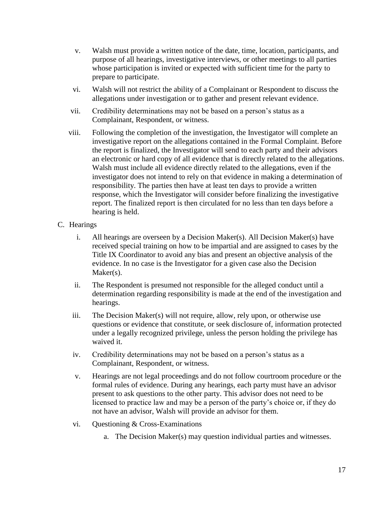- v. Walsh must provide a written notice of the date, time, location, participants, and purpose of all hearings, investigative interviews, or other meetings to all parties whose participation is invited or expected with sufficient time for the party to prepare to participate.
- vi. Walsh will not restrict the ability of a Complainant or Respondent to discuss the allegations under investigation or to gather and present relevant evidence.
- vii. Credibility determinations may not be based on a person's status as a Complainant, Respondent, or witness.
- viii. Following the completion of the investigation, the Investigator will complete an investigative report on the allegations contained in the Formal Complaint. Before the report is finalized, the Investigator will send to each party and their advisors an electronic or hard copy of all evidence that is directly related to the allegations. Walsh must include all evidence directly related to the allegations, even if the investigator does not intend to rely on that evidence in making a determination of responsibility. The parties then have at least ten days to provide a written response, which the Investigator will consider before finalizing the investigative report. The finalized report is then circulated for no less than ten days before a hearing is held.

#### C. Hearings

- i. All hearings are overseen by a Decision Maker(s). All Decision Maker(s) have received special training on how to be impartial and are assigned to cases by the Title IX Coordinator to avoid any bias and present an objective analysis of the evidence. In no case is the Investigator for a given case also the Decision Maker(s).
- ii. The Respondent is presumed not responsible for the alleged conduct until a determination regarding responsibility is made at the end of the investigation and hearings.
- iii. The Decision Maker(s) will not require, allow, rely upon, or otherwise use questions or evidence that constitute, or seek disclosure of, information protected under a legally recognized privilege, unless the person holding the privilege has waived it.
- iv. Credibility determinations may not be based on a person's status as a Complainant, Respondent, or witness.
- v. Hearings are not legal proceedings and do not follow courtroom procedure or the formal rules of evidence. During any hearings, each party must have an advisor present to ask questions to the other party. This advisor does not need to be licensed to practice law and may be a person of the party's choice or, if they do not have an advisor, Walsh will provide an advisor for them.
- vi. Questioning & Cross-Examinations
	- a. The Decision Maker(s) may question individual parties and witnesses.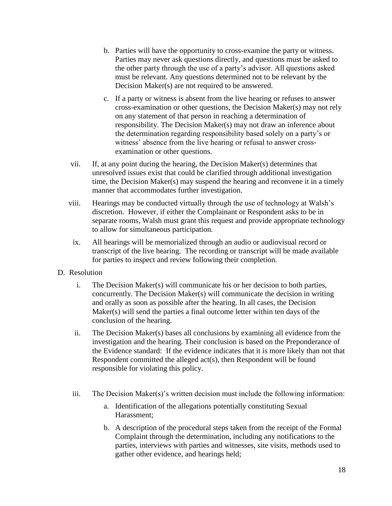- b. Parties will have the opportunity to cross-examine the party or witness. Parties may never ask questions directly, and questions must be asked to the other party through the use of a party's advisor. All questions asked must be relevant. Any questions determined not to be relevant by the Decision Maker(s) are not required to be answered.
- c. If a party or witness is absent from the live hearing or refuses to answer cross-examination or other questions, the Decision Maker(s) may not rely on any statement of that person in reaching a determination of responsibility. The Decision Maker(s) may not draw an inference about the determination regarding responsibility based solely on a party's or witness' absence from the live hearing or refusal to answer crossexamination or other questions.
- vii. If, at any point during the hearing, the Decision Maker(s) determines that unresolved issues exist that could be clarified through additional investigation time, the Decision Maker(s) may suspend the hearing and reconvene it in a timely manner that accommodates further investigation.
- viii. Hearings may be conducted virtually through the use of technology at Walsh's discretion. However, if either the Complainant or Respondent asks to be in separate rooms, Walsh must grant this request and provide appropriate technology to allow for simultaneous participation.
- ix. All hearings will be memorialized through an audio or audiovisual record or transcript of the live hearing. The recording or transcript will be made available for parties to inspect and review following their completion.
- D. Resolution
	- i. The Decision Maker(s) will communicate his or her decision to both parties, concurrently. The Decision Maker(s) will communicate the decision in writing and orally as soon as possible after the hearing. In all cases, the Decision Maker(s) will send the parties a final outcome letter within ten days of the conclusion of the hearing.
	- ii. The Decision Maker(s) bases all conclusions by examining all evidence from the investigation and the hearing. Their conclusion is based on the Preponderance of the Evidence standard: If the evidence indicates that it is more likely than not that Respondent committed the alleged act(s), then Respondent will be found responsible for violating this policy.
	- iii. The Decision Maker(s)'s written decision must include the following information:
		- a. Identification of the allegations potentially constituting Sexual Harassment;
		- b. A description of the procedural steps taken from the receipt of the Formal Complaint through the determination, including any notifications to the parties, interviews with parties and witnesses, site visits, methods used to gather other evidence, and hearings held;